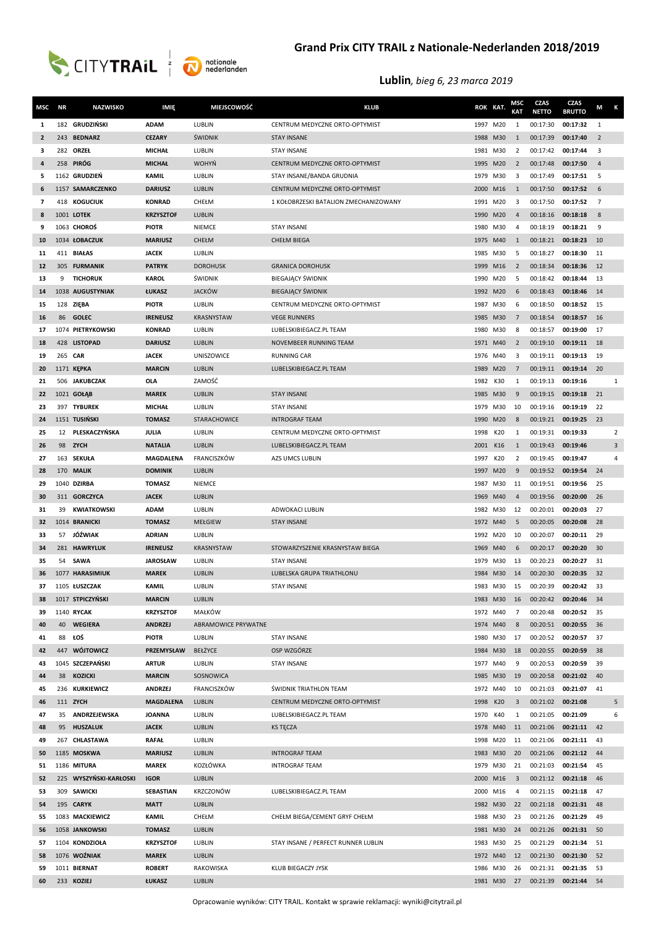



## **Grand Prix CITY TRAIL z Nationale-Nederlanden 2018/2019**

| MSC            | <b>NR</b> | <b>NAZWISKO</b>              | IMIĘ                            | <b>MIEJSCOWOŚĆ</b>       | <b>KLUB</b>                           | ROK KAT. |          | MSC<br>KAT              | <b>CZAS</b><br><b>NETTO</b> | CZAS<br><b>BRUTTO</b> | M<br>К                  |
|----------------|-----------|------------------------------|---------------------------------|--------------------------|---------------------------------------|----------|----------|-------------------------|-----------------------------|-----------------------|-------------------------|
| 1              |           | 182 GRUDZIŃSKI               | <b>ADAM</b>                     | LUBLIN                   | CENTRUM MEDYCZNE ORTO-OPTYMIST        | 1997 M20 |          | 1                       | 00:17:30                    | 00:17:32              | 1                       |
| $\overline{2}$ |           | 243 BEDNARZ                  | <b>CEZARY</b>                   | ŚWIDNIK                  | <b>STAY INSANE</b>                    | 1988 M30 |          | 1                       | 00:17:39                    | 00:17:40              | $\overline{2}$          |
| з              |           | 282 ORZEŁ                    | <b>MICHAŁ</b>                   | LUBLIN                   | <b>STAY INSANE</b>                    | 1981 M30 |          | 2                       | 00:17:42                    | 00:17:44              | $\overline{\mathbf{3}}$ |
| 4              |           | 258 PIRÓG                    | <b>MICHAŁ</b>                   | <b>WOHYŃ</b>             | CENTRUM MEDYCZNE ORTO-OPTYMIST        | 1995 M20 |          | $\overline{2}$          | 00:17:48                    | 00:17:50              | $\overline{4}$          |
| 5              |           | 1162 GRUDZIEŃ                | <b>KAMIL</b>                    | LUBLIN                   | STAY INSANE/BANDA GRUDNIA             | 1979 M30 |          | 3                       | 00:17:49                    | 00:17:51              | 5                       |
| 6              |           | 1157 SAMARCZENKO             | <b>DARIUSZ</b>                  | LUBLIN                   | CENTRUM MEDYCZNE ORTO-OPTYMIST        | 2000 M16 |          | 1                       | 00:17:50                    | 00:17:52              | 6                       |
| $\overline{7}$ |           | 418 KOGUCIUK                 | <b>KONRAD</b>                   | CHEŁM                    | 1 KOŁOBRZESKI BATALION ZMECHANIZOWANY | 1991 M20 |          | 3                       | 00:17:50                    | 00:17:52              | $\overline{7}$          |
| 8              |           | 1001 LOTEK                   | <b>KRZYSZTOF</b>                | LUBLIN                   |                                       | 1990 M20 |          | $\overline{4}$          | 00:18:16                    | 00:18:18              | 8                       |
| 9              |           | 1063 CHOROŚ                  | <b>PIOTR</b>                    | <b>NIEMCE</b>            | <b>STAY INSANE</b>                    | 1980     | M30      | 4                       | 00:18:19                    | 00:18:21              | 9                       |
| 10             |           | 1034 ŁOBACZUK                | <b>MARIUSZ</b>                  | CHEŁM                    | <b>CHEŁM BIEGA</b>                    | 1975 M40 |          | 1                       | 00:18:21                    | 00:18:23              | 10                      |
| 11             |           | 411 BIAŁAS                   | <b>JACEK</b>                    | LUBLIN                   |                                       | 1985 M30 |          | 5                       | 00:18:27                    | 00:18:30              | 11                      |
| 12             |           | 305 FURMANIK                 | <b>PATRYK</b>                   | <b>DOROHUSK</b>          | <b>GRANICA DOROHUSK</b>               | 1999 M16 |          | $\overline{2}$          | 00:18:34                    | 00:18:36              | 12                      |
| 13             | 9         | <b>TICHORUK</b>              | <b>KAROL</b>                    | <b><i>SWIDNIK</i></b>    | BIEGAJĄCY ŚWIDNIK                     | 1990 M20 |          | 5                       | 00:18:42                    | 00:18:44              | 13                      |
| 14             |           | 1038 AUGUSTYNIAK             | ŁUKASZ                          | <b>JACKÓW</b>            | <b>BIEGAJĄCY ŚWIDNIK</b>              | 1992 M20 |          | 6                       | 00:18:43                    | 00:18:46              | 14                      |
| 15             |           | 128 ZIEBA                    | <b>PIOTR</b>                    | LUBLIN                   | CENTRUM MEDYCZNE ORTO-OPTYMIST        | 1987     | M30      | 6                       | 00:18:50                    | 00:18:52              | 15                      |
| <b>16</b>      | 86        | <b>GOLEC</b>                 | <b>IRENEUSZ</b>                 | KRASNYSTAW               | <b>VEGE RUNNERS</b>                   | 1985 M30 |          | $\overline{7}$          | 00:18:54                    | 00:18:57              | 16                      |
| 17             |           | 1074 PIETRYKOWSKI            | <b>KONRAD</b>                   | LUBLIN                   | LUBELSKIBIEGACZ.PL TEAM               | 1980     | M30      | 8                       | 00:18:57                    | 00:19:00              | 17                      |
| 18             |           | 428 LISTOPAD                 | <b>DARIUSZ</b>                  | LUBLIN                   | NOVEMBEER RUNNING TEAM                | 1971 M40 |          | 2                       | 00:19:10                    | 00:19:11              | 18                      |
| 19             |           | 265 CAR                      | <b>JACEK</b>                    | <b>UNISZOWICE</b>        | <b>RUNNING CAR</b>                    | 1976 M40 |          | 3                       | 00:19:11                    | 00:19:13              | 19                      |
| 20             |           | 1171 KEPKA                   | <b>MARCIN</b>                   | LUBLIN                   | LUBELSKIBIEGACZ.PL TEAM               | 1989 M20 |          | 7                       | 00:19:11                    | 00:19:14              | 20                      |
| 21             |           | 506 JAKUBCZAK                | <b>OLA</b>                      | ZAMOŚĆ                   |                                       | 1982     | K30      | 1                       | 00:19:13                    | 00:19:16              | 1                       |
| 22             |           | 1021 GOŁĄB                   | <b>MAREK</b>                    | LUBLIN                   | <b>STAY INSANE</b>                    | 1985 M30 |          | 9                       | 00:19:15                    | 00:19:18              | 21                      |
| 23             |           | 397 TYBUREK                  | <b>MICHAŁ</b>                   | LUBLIN                   | <b>STAY INSANE</b>                    | 1979 M30 |          | 10                      | 00:19:16                    | 00:19:19              | 22                      |
| 24             |           | 1151 TUSIŃSKI                | <b>TOMASZ</b>                   | STARACHOWICE             | <b>INTROGRAF TEAM</b>                 | 1990 M20 |          | 8                       | 00:19:21                    | 00:19:25              | 23                      |
| 25             |           | 12 PLESKACZYŃSKA             | JULIA                           | LUBLIN                   | CENTRUM MEDYCZNE ORTO-OPTYMIST        | 1998     | K20      | 1                       | 00:19:31                    | 00:19:33              | $\overline{2}$          |
| 26             |           | 98 ZYCH                      | <b>NATALIA</b>                  | <b>LUBLIN</b>            | LUBELSKIBIEGACZ.PL TEAM               | 2001     | K16      | $\mathbf{1}$            | 00:19:43                    | 00:19:46              | 3                       |
| 27             |           | 163 SEKUŁA                   | MAGDALENA                       | FRANCISZKÓW              | AZS UMCS LUBLIN                       | 1997     | K20      | 2                       | 00:19:45                    | 00:19:47              | $\overline{4}$          |
| 28             |           | 170 MALIK                    | <b>DOMINIK</b>                  | LUBLIN                   |                                       | 1997 M20 |          | 9                       | 00:19:52                    | 00:19:54              | 24                      |
| 29             |           | 1040 DZIRBA                  | <b>TOMASZ</b>                   | <b>NIEMCE</b>            |                                       | 1987 M30 |          | 11                      | 00:19:51                    | 00:19:56              | 25                      |
| 30             |           | 311 GORCZYCA                 | <b>JACEK</b>                    | LUBLIN                   |                                       | 1969     | M40      | $\overline{4}$          | 00:19:56                    | 00:20:00              | 26                      |
| 31             | 39        | <b>KWIATKOWSKI</b>           | <b>ADAM</b>                     | LUBLIN                   | ADWOKACI LUBLIN                       | 1982     | M30      | 12                      | 00:20:01                    | 00:20:03              | 27                      |
| 32             |           | 1014 BRANICKI                | <b>TOMASZ</b>                   | MEŁGIEW                  | <b>STAY INSANE</b>                    | 1972 M40 |          | 5                       | 00:20:05                    | 00:20:08              | 28                      |
| 33             | 57        | JÓŹWIAK                      | <b>ADRIAN</b>                   | LUBLIN                   |                                       | 1992 M20 |          | 10                      | 00:20:07                    | 00:20:11              | 29                      |
| 34             |           | 281 HAWRYLUK                 | <b>IRENEUSZ</b>                 | KRASNYSTAW               | STOWARZYSZENIE KRASNYSTAW BIEGA       | 1969     | M40      | 6                       | 00:20:17                    | 00:20:20              | 30                      |
| 35             | 54        | SAWA                         | <b>JAROSŁAW</b>                 | LUBLIN                   | <b>STAY INSANE</b>                    | 1979     | M30      | 13                      | 00:20:23                    | 00:20:27              | 31                      |
| 36             |           | 1077 HARASIMIUK              | <b>MAREK</b>                    | LUBLIN                   | LUBELSKA GRUPA TRIATHLONU             | 1984 M30 |          | 14                      | 00:20:30                    | 00:20:35              | 32                      |
| 37             |           | 1105 ŁUSZCZAK                | <b>KAMIL</b>                    | LUBLIN                   | <b>STAY INSANE</b>                    |          | 1983 M30 | 15                      | 00:20:39                    | 00:20:42              | 33                      |
| 38             |           | 1017 STPICZYŃSKI             | <b>MARCIN</b>                   | <b>LUBLIN</b>            |                                       |          | 1983 M30 | 16                      | 00:20:42                    | 00:20:46              | 34                      |
| 39             |           | 1140 RYCAK                   | <b>KRZYSZTOF</b>                | MAŁKÓW                   |                                       | 1972 M40 |          | $\overline{7}$          | 00:20:48                    | 00:20:52              | 35                      |
| 40             |           | 40 WEGIERA                   | <b>ANDRZEJ</b>                  | ABRAMOWICE PRYWATNE      |                                       | 1974 M40 |          | 8                       | 00:20:51                    | 00:20:55              | - 36                    |
| 41             |           | 88 ŁOŚ                       | <b>PIOTR</b>                    | LUBLIN                   | <b>STAY INSANE</b>                    | 1980 M30 |          | 17                      | 00:20:52                    | 00:20:57              | 37                      |
| 42             |           | 447 WÓJTOWICZ                | PRZEMYSŁAW                      | BEŁŻYCE                  | OSP WZGÓRZE                           | 1984 M30 |          | 18                      | 00:20:55                    | 00:20:59              | 38                      |
| 43             |           | 1045 SZCZEPAŃSKI             | <b>ARTUR</b>                    | LUBLIN                   | <b>STAY INSANE</b>                    | 1977 M40 |          | 9                       | 00:20:53                    | 00:20:59              | 39<br>40                |
| 44             |           | 38 KOZICKI<br>236 KURKIEWICZ | <b>MARCIN</b><br><b>ANDRZEJ</b> | SOSNOWICA<br>FRANCISZKÓW | ŚWIDNIK TRIATHLON TEAM                | 1972 M40 | 1985 M30 | 19<br>10                | 00:20:58<br>00:21:03        | 00:21:02<br>00:21:07  | 41                      |
| 45<br>46       |           | 111 ZYCH                     | <b>MAGDALENA</b>                | LUBLIN                   | CENTRUM MEDYCZNE ORTO-OPTYMIST        | 1998 K20 |          | $\overline{3}$          | 00:21:02                    | 00:21:08              | 5                       |
| 47             |           | 35 ANDRZEJEWSKA              | <b>JOANNA</b>                   | LUBLIN                   | LUBELSKIBIEGACZ.PL TEAM               | 1970     | K40      | 1                       | 00:21:05                    | 00:21:09              | 6                       |
| 48             |           | 95 HUSZALUK                  | <b>JACEK</b>                    | LUBLIN                   | <b>KS TECZA</b>                       | 1978 M40 |          | 11                      | 00:21:06                    | 00:21:11              | 42                      |
| 49             |           | 267 CHLASTAWA                | <b>RAFAŁ</b>                    | LUBLIN                   |                                       | 1998 M20 |          | 11                      | 00:21:06                    | 00:21:11              | 43                      |
| 50             |           | 1185 MOSKWA                  | <b>MARIUSZ</b>                  | LUBLIN                   | <b>INTROGRAF TEAM</b>                 | 1983 M30 |          | 20                      | 00:21:06                    | 00:21:12              | 44                      |
| 51             |           | 1186 MITURA                  | <b>MAREK</b>                    | KOZŁÓWKA                 | <b>INTROGRAF TEAM</b>                 | 1979 M30 |          | 21                      | 00:21:03                    | 00:21:54              | 45                      |
| 52             |           | 225 WYSZYŃSKI-KARŁOSKI       | <b>IGOR</b>                     | LUBLIN                   |                                       | 2000 M16 |          | $\overline{\mathbf{3}}$ | 00:21:12                    | 00:21:18              | 46                      |
| 53             |           | 309 SAWICKI                  | SEBASTIAN                       | KRZCZONÓW                | LUBELSKIBIEGACZ.PL TEAM               | 2000 M16 |          | 4                       | 00:21:15                    | 00:21:18              | 47                      |
| 54             |           | 195 CARYK                    | <b>MATT</b>                     | LUBLIN                   |                                       |          | 1982 M30 | 22                      | 00:21:18                    | 00:21:31              | 48                      |
| 55             |           | 1083 MACKIEWICZ              | <b>KAMIL</b>                    | CHEŁM                    | CHEŁM BIEGA/CEMENT GRYF CHEŁM         | 1988 M30 |          | 23                      | 00:21:26                    | 00:21:29              | 49                      |
| 56             |           | 1058 JANKOWSKI               | <b>TOMASZ</b>                   | LUBLIN                   |                                       | 1981 M30 |          | 24                      | 00:21:26                    | 00:21:31              | 50                      |
| 57             |           | 1104 KONDZIOŁA               | <b>KRZYSZTOF</b>                | LUBLIN                   | STAY INSANE / PERFECT RUNNER LUBLIN   |          | 1983 M30 | 25                      | 00:21:29                    | 00:21:34              | 51                      |
| 58             |           | 1076 WOŹNIAK                 | <b>MAREK</b>                    | LUBLIN                   |                                       |          | 1972 M40 | 12                      | 00:21:30                    | 00:21:30              | 52                      |
| 59             |           | 1011 BIERNAT                 | <b>ROBERT</b>                   | RAKOWISKA                | KLUB BIEGACZY JYSK                    | 1986 M30 |          | 26                      | 00:21:31                    | 00:21:35              | 53                      |
| 60             |           | 233 KOZIEJ                   | ŁUKASZ                          | <b>LUBLIN</b>            |                                       |          | 1981 M30 | 27                      | 00:21:39                    | 00:21:44              | 54                      |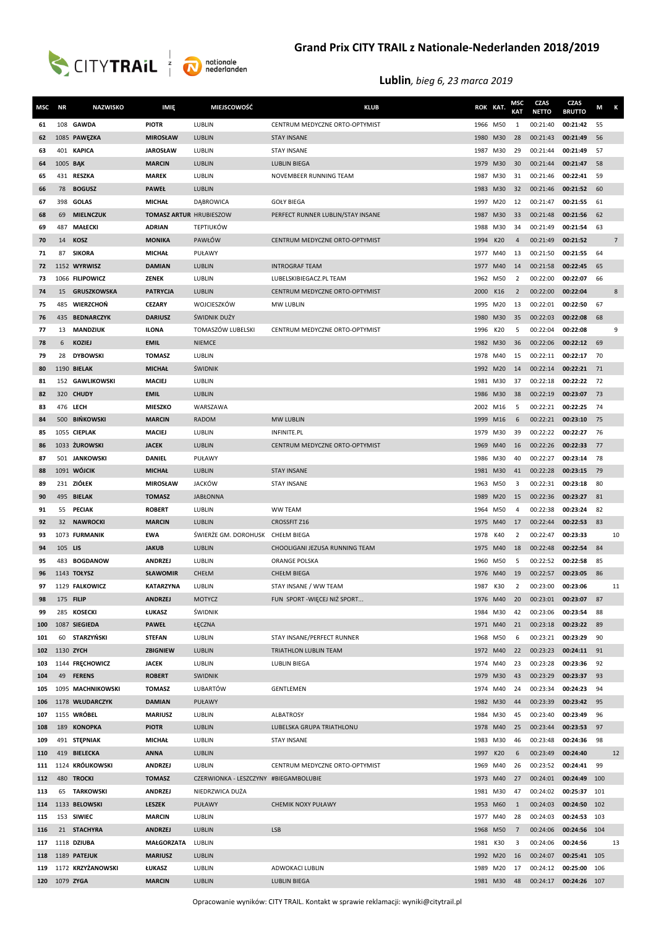



| MSC        | <b>NR</b> | <b>NAZWISKO</b>                  | IMIĘ                            | <b>MIEJSCOWOŚĆ</b>                    | <b>KLUB</b>                                   | ROK KAT.             |     | <b>MSC</b><br><b>KAT</b> | <b>CZAS</b><br><b>NETTO</b> | CZAS<br><b>BRUTTO</b> | М        | К              |
|------------|-----------|----------------------------------|---------------------------------|---------------------------------------|-----------------------------------------------|----------------------|-----|--------------------------|-----------------------------|-----------------------|----------|----------------|
| 61         |           | 108 GAWDA                        | <b>PIOTR</b>                    | LUBLIN                                | CENTRUM MEDYCZNE ORTO-OPTYMIST                | 1966 M50             |     | 1                        | 00:21:40                    | 00:21:42              | 55       |                |
| 62         |           | 1085 PAWĘZKA                     | <b>MIROSŁAW</b>                 | LUBLIN                                | <b>STAY INSANE</b>                            | 1980                 | M30 | 28                       | 00:21:43                    | 00:21:49              | 56       |                |
| 63         |           | 401 KAPICA                       | <b>JAROSŁAW</b>                 | LUBLIN                                | <b>STAY INSANE</b>                            | 1987                 | M30 | 29                       | 00:21:44                    | 00:21:49              | 57       |                |
| 64         | 1005 BAK  |                                  | <b>MARCIN</b>                   | LUBLIN                                | <b>LUBLIN BIEGA</b>                           | 1979                 | M30 | 30                       | 00:21:44                    | 00:21:47              | 58       |                |
| 65         |           | 431 RESZKA                       | <b>MAREK</b>                    | LUBLIN                                | NOVEMBEER RUNNING TEAM                        | 1987                 | M30 | 31                       | 00:21:46                    | 00:22:41              | 59       |                |
| 66         | 78        | <b>BOGUSZ</b>                    | <b>PAWEŁ</b>                    | LUBLIN                                |                                               | 1983 M30             |     | 32                       | 00:21:46                    | 00:21:52              | 60       |                |
| 67         |           | 398 GOLAS                        | <b>MICHAŁ</b>                   | DĄBROWICA                             | <b>GOŁY BIEGA</b>                             | 1997                 | M20 | 12                       | 00:21:47                    | 00:21:55              | 61       |                |
| 68         | 69        | <b>MIELNCZUK</b>                 | <b>TOMASZ ARTUR HRUBIESZOW</b>  |                                       | PERFECT RUNNER LUBLIN/STAY INSANE             | 1987 M30             |     | 33                       | 00:21:48                    | 00:21:56              | 62       |                |
| 69         | 487       | <b>MAŁECKI</b>                   | <b>ADRIAN</b>                   | <b>TEPTIUKÓW</b>                      |                                               | 1988                 | M30 | 34                       | 00:21:49                    | 00:21:54              | 63       |                |
| 70         | 14        | <b>KOSZ</b>                      | <b>MONIKA</b>                   | PAWŁÓW                                | CENTRUM MEDYCZNE ORTO-OPTYMIST                | 1994                 | K20 | 4                        | 00:21:49                    | 00:21:52              |          | $\overline{7}$ |
| 71         | 87        | <b>SIKORA</b>                    | <b>MICHAŁ</b>                   | PUŁAWY                                |                                               | 1977                 | M40 | 13                       | 00:21:50                    | 00:21:55              | 64       |                |
| 72         |           | 1152 WYRWISZ                     | <b>DAMIAN</b>                   | LUBLIN                                | <b>INTROGRAF TEAM</b>                         | 1977                 | M40 | 14                       | 00:21:58                    | 00:22:45              | 65       |                |
| 73         |           | 1066 FILIPOWICZ                  | ZENEK                           | LUBLIN                                | LUBELSKIBIEGACZ.PL TEAM                       | 1962 M50             |     | 2                        | 00:22:00                    | 00:22:07              | 66       |                |
| 74         | 15        | <b>GRUSZKOWSKA</b>               | <b>PATRYCJA</b>                 | LUBLIN                                | CENTRUM MEDYCZNE ORTO-OPTYMIST                | 2000                 | K16 | 2                        | 00:22:00                    | 00:22:04              |          | 8              |
| 75         | 485       | <b>WIERZCHOŃ</b>                 | <b>CEZARY</b>                   | WOJCIESZKÓW                           | <b>MW LUBLIN</b>                              | 1995                 | M20 | 13                       | 00:22:01                    | 00:22:50              | 67       |                |
| 76         | 435       | <b>BEDNARCZYK</b>                | <b>DARIUSZ</b>                  | <b>ŚWIDNIK DUŻY</b>                   |                                               | 1980                 | M30 | 35                       | 00:22:03                    | 00:22:08              | 68       |                |
| 77         | 13        | <b>MANDZIUK</b>                  | <b>ILONA</b>                    | TOMASZÓW LUBELSKI                     | CENTRUM MEDYCZNE ORTO-OPTYMIST                | 1996                 | K20 | 5                        | 00:22:04                    | 00:22:08              |          | 9              |
| 78<br>79   | 6<br>28   | <b>KOZIEJ</b><br><b>DYBOWSKI</b> | <b>EMIL</b><br><b>TOMASZ</b>    | <b>NIEMCE</b><br>LUBLIN               |                                               | 1982 M30<br>1978 M40 |     | 36                       | 00:22:06<br>00:22:11        | 00:22:12<br>00:22:17  | 69<br>70 |                |
| 80         |           | 1190 BIELAK                      | <b>MICHAŁ</b>                   | ŚWIDNIK                               |                                               | 1992 M20             |     | 15<br>14                 | 00:22:14                    | 00:22:21              | 71       |                |
| 81         |           | 152 GAWLIKOWSKI                  | <b>MACIEJ</b>                   | LUBLIN                                |                                               | 1981                 | M30 | 37                       | 00:22:18                    | 00:22:22              | 72       |                |
| 82         |           | 320 CHUDY                        | <b>EMIL</b>                     | LUBLIN                                |                                               | 1986 M30             |     | 38                       | 00:22:19                    | 00:23:07              | 73       |                |
| 83         |           | 476 LECH                         | <b>MIESZKO</b>                  | WARSZAWA                              |                                               | 2002 M16             |     | 5                        | 00:22:21                    | 00:22:25              | 74       |                |
| 84         |           | 500 BIŃKOWSKI                    | <b>MARCIN</b>                   | RADOM                                 | <b>MW LUBLIN</b>                              | 1999 M16             |     | 6                        | 00:22:21                    | 00:23:10              | 75       |                |
| 85         |           | 1055 CIEPLAK                     | MACIEJ                          | LUBLIN                                | INFINITE.PL                                   | 1979 M30             |     | 39                       | 00:22:22                    | 00:22:27              | 76       |                |
| 86         |           | 1033 ŻUROWSKI                    | <b>JACEK</b>                    | LUBLIN                                | CENTRUM MEDYCZNE ORTO-OPTYMIST                | 1969                 | M40 | 16                       | 00:22:26                    | 00:22:33              | 77       |                |
| 87         |           | 501 JANKOWSKI                    | DANIEL                          | PUŁAWY                                |                                               | 1986 M30             |     | 40                       | 00:22:27                    | 00:23:14              | 78       |                |
| 88         |           | 1091 WÓJCIK                      | <b>MICHAŁ</b>                   | LUBLIN                                | <b>STAY INSANE</b>                            | 1981 M30             |     | 41                       | 00:22:28                    | 00:23:15              | 79       |                |
| 89         |           | 231 ZIÓŁEK                       | <b>MIROSŁAW</b>                 | JACKÓW                                | <b>STAY INSANE</b>                            | 1963                 | M50 | 3                        | 00:22:31                    | 00:23:18              | 80       |                |
| 90         | 495       | <b>BIELAK</b>                    | <b>TOMASZ</b>                   | <b>JABŁONNA</b>                       |                                               | 1989                 | M20 | 15                       | 00:22:36                    | 00:23:27              | 81       |                |
| 91         | 55        | <b>PECIAK</b>                    | <b>ROBERT</b>                   | LUBLIN                                | <b>WW TEAM</b>                                | 1964                 | M50 | 4                        | 00:22:38                    | 00:23:24              | 82       |                |
| 92         | 32        | <b>NAWROCKI</b>                  | <b>MARCIN</b>                   | LUBLIN                                | <b>CROSSFIT Z16</b>                           | 1975 M40             |     | 17                       | 00:22:44                    | 00:22:53              | 83       |                |
| 93         |           | 1073 FURMANIK                    | <b>EWA</b>                      | ŚWIERŻE GM. DOROHUSK                  | CHEŁM BIEGA                                   | 1978                 | K40 | 2                        | 00:22:47                    | 00:23:33              |          | 10             |
| 94         | 105 LIS   |                                  | <b>JAKUB</b>                    | LUBLIN                                | CHOOLIGANI JEZUSA RUNNING TEAM                | 1975                 | M40 | 18                       | 00:22:48                    | 00:22:54              | 84       |                |
| 95         |           | 483 BOGDANOW                     | <b>ANDRZEJ</b>                  | LUBLIN                                | ORANGE POLSKA                                 | 1960                 | M50 | 5                        | 00:22:52                    | 00:22:58              | 85       |                |
| 96         |           | 1143 TOŁYSZ                      | <b>SŁAWOMIR</b>                 | CHEŁM                                 | <b>CHEŁM BIEGA</b>                            | 1976 M40             |     | 19                       | 00:22:57                    | 00:23:05              | 86       |                |
| 97         |           | 1129 FALKOWICZ                   | <b>KATARZYNA</b>                | LUBLIN                                | STAY INSANE / WW TEAM                         | 1987                 | K30 | $\overline{\mathbf{z}}$  | 00:23:00                    | 00:23:06              |          | 11             |
| 98         |           | 175 FILIP                        | <b>ANDRZEJ</b>                  | <b>MOTYCZ</b>                         | FUN SPORT - WIĘCEJ NIŻ SPORT                  | 1976 M40             |     | 20                       | 00:23:01                    | 00:23:07              | 87       |                |
| 99         |           | 285 KOSECKI                      | ŁUKASZ                          | ŚWIDNIK                               |                                               | 1984 M30             |     | 42                       | 00:23:06                    | 00:23:54              | 88       |                |
| 100        |           | 1087 SIEGIEDA                    | <b>PAWEŁ</b>                    | ŁĘCZNA                                |                                               | 1971 M40             |     | 21                       | 00:23:18                    | 00:23:22              | 89       |                |
| 101        |           | 60 STARZYŃSKI                    | <b>STEFAN</b>                   | LUBLIN                                | STAY INSANE/PERFECT RUNNER                    | 1968 M50             |     | 6                        | 00:23:21                    | 00:23:29              | 90       |                |
| 102        |           | 1130 ZYCH                        | ZBIGNIEW                        | LUBLIN                                | TRIATHLON LUBLIN TEAM                         | 1972 M40             |     | 22                       | 00:23:23                    | 00:24:11              | 91       |                |
| 103        |           | 1144 FRECHOWICZ                  | <b>JACEK</b>                    | LUBLIN                                | LUBLIN BIEGA                                  | 1974 M40             |     | 23                       | 00:23:28                    | 00:23:36              | 92       |                |
| 104        |           | 49 FERENS                        | <b>ROBERT</b>                   | SWIDNIK                               |                                               | 1979 M30             |     | 43                       | 00:23:29                    | 00:23:37              | 93       |                |
| 105        |           | 1095 MACHNIKOWSKI                | <b>TOMASZ</b>                   | LUBARTÓW                              | GENTLEMEN                                     | 1974 M40             |     | 24                       | 00:23:34                    | 00:24:23              | 94       |                |
| 106        |           | 1178 WŁUDARCZYK                  | <b>DAMIAN</b><br><b>MARIUSZ</b> | PUŁAWY                                |                                               | 1982 M30             |     | 44                       | 00:23:39<br>00:23:40        | 00:23:42              | 95       |                |
| 107        |           | 1155 WRÓBEL<br>189 KONOPKA       | <b>PIOTR</b>                    | LUBLIN<br>LUBLIN                      | <b>ALBATROSY</b><br>LUBELSKA GRUPA TRIATHLONU | 1984 M30<br>1978 M40 |     | 45<br>25                 | 00:23:44                    | 00:23:49<br>00:23:53  | 96<br>97 |                |
| 108<br>109 |           | 491 STEPNIAK                     | <b>MICHAŁ</b>                   | LUBLIN                                | <b>STAY INSANE</b>                            | 1983 M30             |     | 46                       | 00:23:48                    | 00:24:36              | 98       |                |
| 110        |           | 419 BIELECKA                     | <b>ANNA</b>                     | LUBLIN                                |                                               | 1997                 | K20 | 6                        | 00:23:49                    | 00:24:40              |          | 12             |
| 111        |           | 1124 KRÓLIKOWSKI                 | <b>ANDRZEJ</b>                  | LUBLIN                                | CENTRUM MEDYCZNE ORTO-OPTYMIST                | 1969                 | M40 | 26                       | 00:23:52                    | 00:24:41              | 99       |                |
| 112        |           | 480 TROCKI                       | <b>TOMASZ</b>                   | CZERWIONKA - LESZCZYNY #BIEGAMBOLUBIE |                                               | 1973 M40             |     | 27                       | 00:24:01                    | 00:24:49 100          |          |                |
| 113        |           | 65 TARKOWSKI                     | <b>ANDRZEJ</b>                  | NIEDRZWICA DUŻA                       |                                               | 1981 M30             |     | 47                       | 00:24:02                    | 00:25:37 101          |          |                |
| 114        |           | 1133 BELOWSKI                    | <b>LESZEK</b>                   | <b>PUŁAWY</b>                         | CHEMIK NOXY PUŁAWY                            | 1953 M60             |     | 1                        | 00:24:03                    | 00:24:50 102          |          |                |
| 115        |           | 153 SIWIEC                       | <b>MARCIN</b>                   | LUBLIN                                |                                               | 1977 M40             |     | 28                       | 00:24:03                    | 00:24:53 103          |          |                |
| 116        |           | 21 STACHYRA                      | <b>ANDRZEJ</b>                  | LUBLIN                                | <b>LSB</b>                                    | 1968 M50             |     | 7                        | 00:24:06                    | 00:24:56 104          |          |                |
| 117        |           | 1118 DZIUBA                      | <b>MAŁGORZATA</b>               | LUBLIN                                |                                               | 1981                 | K30 | 3                        | 00:24:06                    | 00:24:56              |          | 13             |
| 118        |           | 1189 PATEJUK                     | <b>MARIUSZ</b>                  | LUBLIN                                |                                               | 1992 M20             |     | 16                       | 00:24:07                    | 00:25:41 105          |          |                |
| 119        |           | 1172 KRZYŻANOWSKI                | ŁUKASZ                          | LUBLIN                                | ADWOKACI LUBLIN                               | 1989 M20             |     | 17                       | 00:24:12                    | 00:25:00              | 106      |                |
| 120        |           | 1079 ZYGA                        | <b>MARCIN</b>                   | <b>LUBLIN</b>                         | <b>LUBLIN BIEGA</b>                           | 1981 M30             |     | 48                       | 00:24:17                    | 00:24:26 107          |          |                |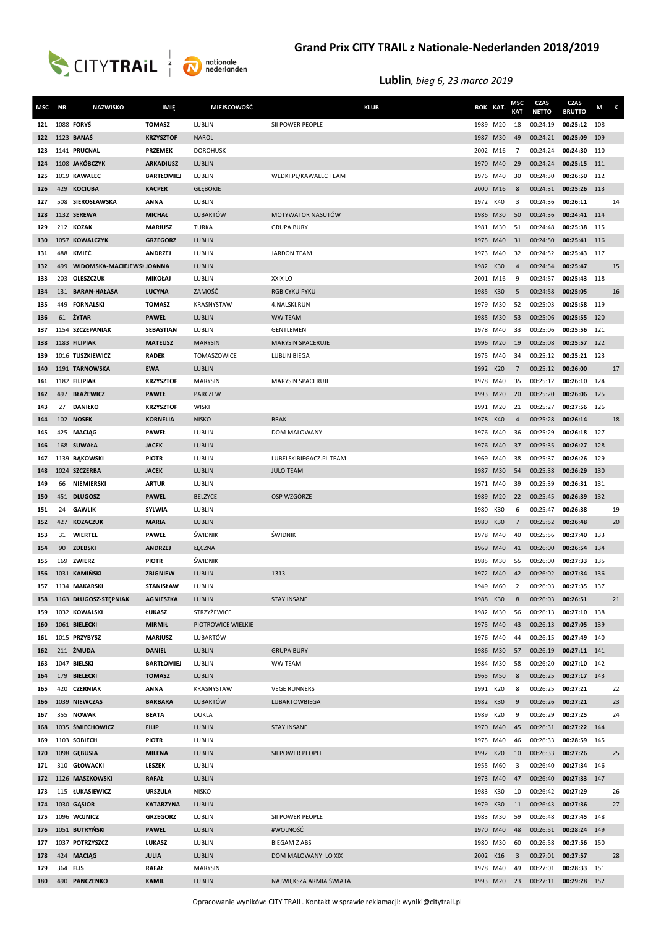

| MSC        | <b>NR</b> | <b>NAZWISKO</b>                  | IMIĘ                         | MIEJSCOWOŚĆ        | <b>KLUB</b>              | ROK KAT.             |     | MSC<br><b>KAT</b> | <b>CZAS</b><br><b>NETTO</b> | CZAS<br><b>BRUTTO</b>        | Μ   | К  |
|------------|-----------|----------------------------------|------------------------------|--------------------|--------------------------|----------------------|-----|-------------------|-----------------------------|------------------------------|-----|----|
| 121        |           | 1088 FORYS                       | <b>TOMASZ</b>                | LUBLIN             | SII POWER PEOPLE         | 1989                 | M20 | 18                | 00:24:19                    | 00:25:12 108                 |     |    |
| 122        |           | 1123 <b>BANAŚ</b>                | <b>KRZYSZTOF</b>             | <b>NAROL</b>       |                          | 1987                 | M30 | 49                | 00:24:21                    | 00:25:09                     | 109 |    |
| 123        |           | 1141 PRUCNAL                     | <b>PRZEMEK</b>               | <b>DOROHUSK</b>    |                          | 2002                 | M16 | 7                 | 00:24:24                    | 00:24:30                     | 110 |    |
| 124        |           | 1108 JAKÓBCZYK                   | <b>ARKADIUSZ</b>             | LUBLIN             |                          | 1970                 | M40 | 29                | 00:24:24                    | 00:25:15 111                 |     |    |
| 125        |           | 1019 KAWALEC                     | <b>BARTŁOMIEJ</b>            | LUBLIN             | WEDKI.PL/KAWALEC TEAM    | 1976 M40             |     | 30                | 00:24:30                    | 00:26:50                     | 112 |    |
| 126        |           | 429 KOCIUBA                      | <b>KACPER</b>                | <b>GŁĘBOKIE</b>    |                          | 2000                 | M16 | 8                 | 00:24:31                    | 00:25:26 113                 |     |    |
| 127        |           | 508 SIEROSŁAWSKA                 | <b>ANNA</b>                  | LUBLIN             |                          | 1972 K40             |     | 3                 | 00:24:36                    | 00:26:11                     |     | 14 |
| 128        |           | 1132 SEREWA                      | <b>MICHAŁ</b>                | <b>LUBARTÓW</b>    | MOTYWATOR NASUTÓW        | 1986 M30             |     | 50                | 00:24:36                    | 00:24:41 114                 |     |    |
| 129        |           | 212 KOZAK                        | <b>MARIUSZ</b>               | <b>TURKA</b>       | <b>GRUPA BURY</b>        | 1981                 | M30 | 51                | 00:24:48                    | 00:25:38 115                 |     |    |
| 130        |           | 1057 KOWALCZYK                   | <b>GRZEGORZ</b>              | LUBLIN             |                          | 1975 M40             |     | 31                | 00:24:50                    | 00:25:41 116                 |     |    |
| 131        | 488       | KMIEĆ                            | <b>ANDRZEJ</b>               | LUBLIN             | <b>JARDON TEAM</b>       | 1973                 | M40 | 32                | 00:24:52                    | 00:25:43 117                 |     |    |
| 132        | 499       | WIDOMSKA-MACIEJEWSI JOANNA       |                              | <b>LUBLIN</b>      |                          | 1982 K30             |     | $\overline{4}$    | 00:24:54                    | 00:25:47                     |     | 15 |
| 133        |           | 203 OLESZCZUK                    | <b>MIKOŁAJ</b>               | LUBLIN             | XXIX LO                  | 2001 M16             |     | 9                 | 00:24:57                    | 00:25:43 118                 |     |    |
| 134        |           | 131 BARAN-HAŁASA                 | LUCYNA                       | ZAMOŚĆ             | <b>RGB CYKU PYKU</b>     | 1985 K30             |     | 5                 | 00:24:58                    | 00:25:05                     |     | 16 |
| 135        |           | 449 FORNALSKI                    | <b>TOMASZ</b>                | KRASNYSTAW         | 4.NALSKI.RUN             | 1979                 | M30 | 52                | 00:25:03                    | 00:25:58                     | 119 |    |
| 136        | 61        | ŻYTAR                            | <b>PAWEŁ</b>                 | <b>LUBLIN</b>      | <b>WW TEAM</b>           | 1985                 | M30 | 53                | 00:25:06                    | 00:25:55                     | 120 |    |
| 137        |           | 1154 SZCZEPANIAK                 | <b>SEBASTIAN</b>             | LUBLIN             | GENTLEMEN                | 1978                 | M40 | 33                | 00:25:06                    | 00:25:56                     | 121 |    |
| 138        |           | 1183 FILIPIAK                    | <b>MATEUSZ</b>               | <b>MARYSIN</b>     | <b>MARYSIN SPACERUJE</b> | 1996 M20             |     | 19                | 00:25:08                    | 00:25:57                     | 122 |    |
| 139        |           | 1016 TUSZKIEWICZ                 | <b>RADEK</b>                 | TOMASZOWICE        | LUBLIN BIEGA             | 1975                 | M40 | 34                | 00:25:12                    | 00:25:21 123                 |     |    |
| 140        |           | 1191 TARNOWSKA                   | <b>EWA</b>                   | <b>LUBLIN</b>      |                          | 1992                 | K20 | 7                 | 00:25:12                    | 00:26:00                     |     | 17 |
| 141        |           | 1182 FILIPIAK                    | <b>KRZYSZTOF</b>             | <b>MARYSIN</b>     | MARYSIN SPACERUJE        | 1978 M40             |     | 35                | 00:25:12                    | 00:26:10 124                 |     |    |
| 142        |           | 497 BŁAŻEWICZ                    | <b>PAWEŁ</b>                 | PARCZEW            |                          | 1993 M20             |     | 20                | 00:25:20                    | 00:26:06 125                 |     |    |
| 143        | 27        | <b>DANIŁKO</b>                   | <b>KRZYSZTOF</b>             | <b>WISKI</b>       |                          | 1991                 | M20 | 21                | 00:25:27                    | 00:27:56 126                 |     |    |
| 144        |           | 102 NOSEK                        | <b>KORNELIA</b>              | <b>NISKO</b>       | <b>BRAK</b>              | 1978                 | K40 | $\overline{4}$    | 00:25:28                    | 00:26:14                     |     | 18 |
| 145        |           | 425 MACIAG                       | <b>PAWEŁ</b>                 | LUBLIN             | DOM MALOWANY             | 1976 M40             |     | 36                | 00:25:29                    | 00:26:18 127                 |     |    |
| 146        |           | 168 SUWAŁA                       | <b>JACEK</b>                 | LUBLIN             |                          | 1976 M40             |     | 37                | 00:25:35                    | 00:26:27 128                 |     |    |
| 147        |           | 1139 BĄKOWSKI<br>1024 SZCZERBA   | <b>PIOTR</b>                 | LUBLIN<br>LUBLIN   | LUBELSKIBIEGACZ.PL TEAM  | 1969                 | M40 | 38                | 00:25:37                    | 00:26:26 129<br>00:26:29 130 |     |    |
| 148<br>149 | 66        | NIEMIERSKI                       | <b>JACEK</b><br><b>ARTUR</b> | LUBLIN             | <b>JULO TEAM</b>         | 1987 M30<br>1971 M40 |     | 54<br>39          | 00:25:38<br>00:25:39        | 00:26:31 131                 |     |    |
| 150        |           | 451 DŁUGOSZ                      | <b>PAWEŁ</b>                 | <b>BELZYCE</b>     | OSP WZGÓRZE              | 1989 M20             |     | 22                | 00:25:45                    | 00:26:39 132                 |     |    |
| 151        | 24        | <b>GAWLIK</b>                    | SYLWIA                       | LUBLIN             |                          | 1980                 | K30 | 6                 | 00:25:47                    | 00:26:38                     |     | 19 |
| 152        | 427       | <b>KOZACZUK</b>                  | <b>MARIA</b>                 | LUBLIN             |                          | 1980                 | K30 | $\overline{7}$    | 00:25:52                    | 00:26:48                     |     | 20 |
| 153        | 31        | <b>WIERTEL</b>                   | <b>PAWEŁ</b>                 | ŚWIDNIK            | ŚWIDNIK                  | 1978                 | M40 | 40                | 00:25:56                    | 00:27:40                     | 133 |    |
| 154        | 90        | ZDEBSKI                          | <b>ANDRZEJ</b>               | ŁĘCZNA             |                          | 1969                 | M40 | 41                | 00:26:00                    | 00:26:54                     | 134 |    |
| 155        |           | 169 ZWIERZ                       | <b>PIOTR</b>                 | ŚWIDNIK            |                          | 1985                 | M30 | 55                | 00:26:00                    | 00:27:33                     | 135 |    |
| 156        |           | 1031 KAMIŃSKI                    | ZBIGNIEW                     | LUBLIN             | 1313                     | 1972 M40             |     | 42                | 00:26:02                    | 00:27:34 136                 |     |    |
| 157        |           | 1134 MAKARSKI                    | <b>STANISŁAW</b>             | LUBLIN             |                          | 1949                 | M60 | 2                 | 00:26:03                    | 00:27:35                     | 137 |    |
| 158        |           | 1163 DŁUGOSZ-STĘPNIAK            | <b>AGNIESZKA</b>             | LUBLIN             | <b>STAY INSANE</b>       | 1988 K30             |     | 8                 | 00:26:03                    | 00:26:51                     |     | 21 |
| 159        |           | 1032 KOWALSKI                    | ŁUKASZ                       | STRZYŻEWICE        |                          | 1982 M30             |     | 56                | 00:26:13                    | 00:27:10 138                 |     |    |
| 160        |           | 1061 BIELECKI                    | <b>MIRMIŁ</b>                | PIOTROWICE WIELKIE |                          | 1975 M40             |     | 43                | 00:26:13                    | 00:27:05 139                 |     |    |
| 161        |           | 1015 PRZYBYSZ                    | <b>MARIUSZ</b>               | LUBARTÓW           |                          | 1976 M40             |     | 44                | 00:26:15                    | 00:27:49 140                 |     |    |
| 162        |           | 211 ŻMUDA                        | <b>DANIEL</b>                | LUBLIN             | <b>GRUPA BURY</b>        | 1986 M30             |     | 57                | 00:26:19                    | 00:27:11 141                 |     |    |
| 163        |           | 1047 BIELSKI                     | <b>BARTŁOMIEJ</b>            | LUBLIN             | <b>WW TEAM</b>           | 1984 M30             |     | 58                | 00:26:20                    | 00:27:10 142                 |     |    |
| 164        |           | 179 BIELECKI                     | <b>TOMASZ</b>                | LUBLIN             |                          | 1965 M50             |     | 8                 | 00:26:25                    | 00:27:17 143                 |     |    |
| 165        |           | 420 CZERNIAK                     | ANNA                         | KRASNYSTAW         | <b>VEGE RUNNERS</b>      | 1991 K20             |     | 8                 | 00:26:25                    | 00:27:21                     |     | 22 |
| 166        |           | 1039 NIEWCZAS                    | <b>BARBARA</b>               | LUBARTÓW           | LUBARTOWBIEGA            | 1982 K30             |     | 9                 | 00:26:26                    | 00:27:21                     |     | 23 |
| 167        |           | 355 NOWAK                        | <b>BEATA</b>                 | <b>DUKLA</b>       |                          | 1989                 | K20 | 9                 | 00:26:29                    | 00:27:25                     |     | 24 |
| 168        |           | 1035 ŚMIECHOWICZ<br>1103 SOBIECH | <b>FILIP</b><br><b>PIOTR</b> | LUBLIN<br>LUBLIN   | <b>STAY INSANE</b>       | 1970 M40             |     | 45<br>46          | 00:26:31<br>00:26:33        | 00:27:22 144<br>00:28:59 145 |     |    |
| 169<br>170 |           | 1098 GEBUSIA                     | <b>MILENA</b>                | LUBLIN             | SII POWER PEOPLE         | 1975 M40<br>1992 K20 |     | 10                | 00:26:33                    | 00:27:26                     |     | 25 |
| 171        |           | 310 GŁOWACKI                     | <b>LESZEK</b>                | LUBLIN             |                          | 1955                 | M60 | 3                 | 00:26:40                    | 00:27:34                     | 146 |    |
| 172        |           | 1126 MASZKOWSKI                  | <b>RAFAŁ</b>                 | LUBLIN             |                          | 1973 M40             |     | 47                | 00:26:40                    | 00:27:33 147                 |     |    |
| 173        |           | 115 ŁUKASIEWICZ                  | <b>URSZULA</b>               | <b>NISKO</b>       |                          | 1983                 | K30 | 10                | 00:26:42                    | 00:27:29                     |     | 26 |
| 174        |           | 1030 GASIOR                      | <b>KATARZYNA</b>             | LUBLIN             |                          | 1979                 | K30 | 11                | 00:26:43                    | 00:27:36                     |     | 27 |
| 175        |           | 1096 WOJNICZ                     | <b>GRZEGORZ</b>              | LUBLIN             | SII POWER PEOPLE         | 1983                 | M30 | 59                | 00:26:48                    | 00:27:45 148                 |     |    |
| 176        |           | 1051 BUTRYŃSKI                   | <b>PAWEŁ</b>                 | LUBLIN             | #WOLNOŚĆ                 | 1970 M40             |     | 48                | 00:26:51                    | 00:28:24 149                 |     |    |
| 177        |           | 1037 POTRZYSZCZ                  | LUKASZ                       | LUBLIN             | <b>BIEGAM Z ABS</b>      | 1980 M30             |     | 60                | 00:26:58                    | 00:27:56 150                 |     |    |
| 178        |           | 424 MACIAG                       | <b>JULIA</b>                 | LUBLIN             | DOM MALOWANY LO XIX      | 2002 K16             |     | 3                 | 00:27:01                    | 00:27:57                     |     | 28 |
| 179        | 364 FLIS  |                                  | <b>RAFAŁ</b>                 | <b>MARYSIN</b>     |                          | 1978 M40             |     | 49                | 00:27:01                    | 00:28:33 151                 |     |    |
| 180        |           | 490 PANCZENKO                    | <b>KAMIL</b>                 | LUBLIN             | NAJWIĘKSZA ARMIA ŚWIATA  | 1993 M20             |     | 23                | 00:27:11 00:29:28 152       |                              |     |    |

Opracowanie wyników: CITY TRAIL. Kontakt w sprawie reklamacji: wyniki@citytrail.pl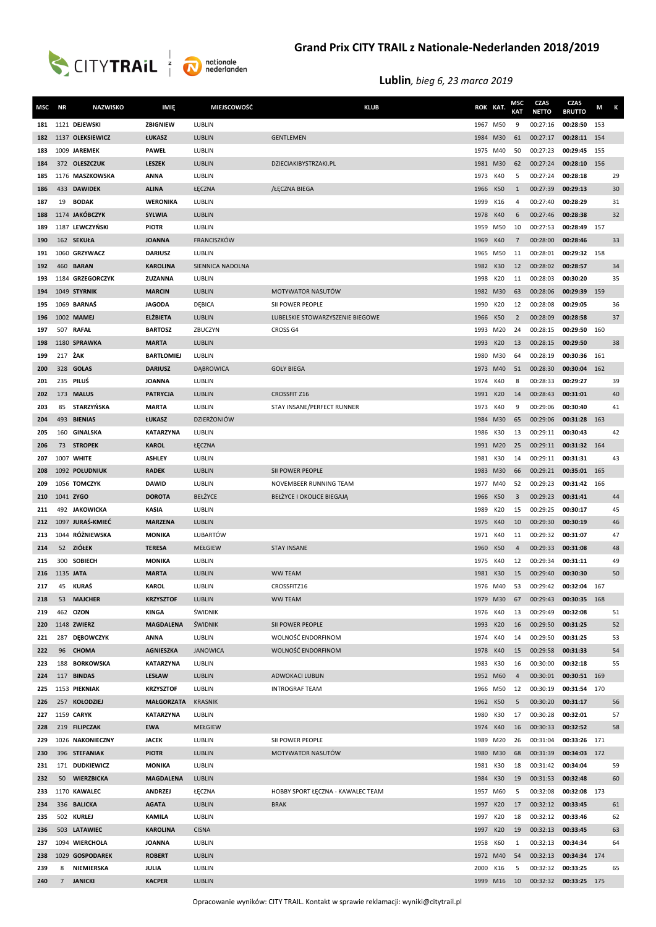

| MSC        | <b>NR</b> | <b>NAZWISKO</b>                   | IMIĘ                             | <b>MIEJSCOWOŚĆ</b> | <b>KLUB</b>                       | ROK KAT.             |            | MSC<br><b>KAT</b> | <b>CZAS</b><br><b>NETTO</b> | CZAS<br><b>BRUTTO</b>    | M   | Κ  |
|------------|-----------|-----------------------------------|----------------------------------|--------------------|-----------------------------------|----------------------|------------|-------------------|-----------------------------|--------------------------|-----|----|
| 181        |           | 1121 DEJEWSKI                     | ZBIGNIEW                         | LUBLIN             |                                   | 1967                 | M50        | 9                 | 00:27:16                    | 00:28:50                 | 153 |    |
| 182        |           | 1137 OLEKSIEWICZ                  | ŁUKASZ                           | LUBLIN             | <b>GENTLEMEN</b>                  | 1984                 | M30        | 61                | 00:27:17                    | 00:28:11 154             |     |    |
| 183        |           | 1009 JAREMEK                      | <b>PAWEŁ</b>                     | LUBLIN             |                                   | 1975                 | M40        | 50                | 00:27:23                    | 00:29:45                 | 155 |    |
| 184        |           | 372 OLESZCZUK                     | <b>LESZEK</b>                    | LUBLIN             | DZIECIAKIBYSTRZAKI.PL             | 1981                 | M30        | 62                | 00:27:24                    | 00:28:10 156             |     |    |
| 185        |           | 1176 MASZKOWSKA                   | <b>ANNA</b>                      | LUBLIN             |                                   | 1973                 | K40        | 5                 | 00:27:24                    | 00:28:18                 |     | 29 |
| 186        |           | 433 DAWIDEK                       | <b>ALINA</b>                     | ŁĘCZNA             | /ŁĘCZNA BIEGA                     | 1966                 | K50        | 1                 | 00:27:39                    | 00:29:13                 |     | 30 |
| 187        | 19        | <b>BODAK</b>                      | <b>WERONIKA</b>                  | LUBLIN             |                                   | 1999                 | K16        | $\overline{4}$    | 00:27:40                    | 00:28:29                 |     | 31 |
| 188        |           | 1174 JAKÓBCZYK                    | <b>SYLWIA</b>                    | <b>LUBLIN</b>      |                                   | 1978                 | K40        | 6                 | 00:27:46                    | 00:28:38                 |     | 32 |
| 189        |           | 1187 LEWCZYŃSKI                   | <b>PIOTR</b>                     | LUBLIN             |                                   | 1959                 | M50        | 10                | 00:27:53                    | 00:28:49 157             |     |    |
| 190        |           | 162 SEKUŁA                        | <b>JOANNA</b>                    | FRANCISZKÓW        |                                   | 1969                 | K40        | $\overline{7}$    | 00:28:00                    | 00:28:46                 |     | 33 |
| 191        |           | 1060 GRZYWACZ                     | <b>DARIUSZ</b>                   | LUBLIN             |                                   | 1965 M50             |            | 11                | 00:28:01                    | 00:29:32 158             |     |    |
| 192        | 460       | <b>BARAN</b>                      | <b>KAROLINA</b>                  | SIENNICA NADOLNA   |                                   | 1982                 | K30        | 12                | 00:28:02                    | 00:28:57                 |     | 34 |
| 193        |           | 1184 GRZEGORCZYK                  | ZUZANNA                          | LUBLIN             |                                   | 1998                 | K20        | 11                | 00:28:03                    | 00:30:20                 |     | 35 |
| 194        |           | 1049 STYRNIK                      | <b>MARCIN</b>                    | LUBLIN             | MOTYWATOR NASUTÓW                 | 1982 M30             |            | 63                | 00:28:06                    | 00:29:39 159             |     |    |
| 195        |           | 1069 BARNAŚ                       | <b>JAGODA</b>                    | DĘBICA             | SII POWER PEOPLE                  | 1990                 | K20        | 12                | 00:28:08                    | 00:29:05                 |     | 36 |
| 196        |           | 1002 MAMEJ                        | <b>ELŻBIETA</b>                  | <b>LUBLIN</b>      | LUBELSKIE STOWARZYSZENIE BIEGOWE  | 1966                 | K50        | $\overline{2}$    | 00:28:09                    | 00:28:58                 |     | 37 |
| 197        | 507       | <b>RAFAŁ</b>                      | <b>BARTOSZ</b>                   | ZBUCZYN            | CROSS G4                          | 1993                 | M20        | 24                | 00:28:15                    | 00:29:50                 | 160 |    |
| 198        |           | 1180 SPRAWKA                      | <b>MARTA</b>                     | LUBLIN             |                                   | 1993                 | K20        | 13                | 00:28:15                    | 00:29:50                 |     | 38 |
| 199        | 217 ZAK   |                                   | <b>BARTŁOMIEJ</b>                | LUBLIN             |                                   | 1980                 | M30        | 64                | 00:28:19                    | 00:30:36                 | 161 |    |
| 200        |           | 328 GOLAS                         | <b>DARIUSZ</b>                   | DĄBROWICA          | <b>GOŁY BIEGA</b>                 | 1973                 | M40        | 51                | 00:28:30                    | 00:30:04                 | 162 |    |
| 201        |           | 235 PILUŚ                         | <b>JOANNA</b>                    | LUBLIN             |                                   | 1974                 | K40        | 8                 | 00:28:33                    | 00:29:27                 |     | 39 |
| 202        |           | 173 MALUS                         | <b>PATRYCJA</b>                  | LUBLIN             | <b>CROSSFIT Z16</b>               | 1991                 | K20        | 14                | 00:28:43                    | 00:31:01                 |     | 40 |
| 203        | 85        | STARZYŃSKA                        | <b>MARTA</b>                     | LUBLIN             | STAY INSANE/PERFECT RUNNER        | 1973                 | K40        | 9                 | 00:29:06                    | 00:30:40                 |     | 41 |
| 204        |           | 493 BIENIAS                       | ŁUKASZ                           | DZIERŻONIÓW        |                                   | 1984                 | M30        | 65                | 00:29:06                    | 00:31:28 163             |     |    |
| 205        | 160       | GINALSKA                          | <b>KATARZYNA</b><br><b>KAROL</b> | LUBLIN             |                                   | 1986                 | K30        | 13<br>25          | 00:29:11                    | 00:30:43<br>00:31:32 164 |     | 42 |
| 206<br>207 |           | 73 STROPEK<br>1007 WHITE          | <b>ASHLEY</b>                    | ŁĘCZNA<br>LUBLIN   |                                   | 1991 M20<br>1981     | K30        | 14                | 00:29:11<br>00:29:11        | 00:31:31                 |     | 43 |
| 208        |           | 1092 POŁUDNIUK                    | <b>RADEK</b>                     | LUBLIN             | SII POWER PEOPLE                  | 1983 M30             |            | 66                | 00:29:21                    | 00:35:01 165             |     |    |
| 209        |           | 1056 TOMCZYK                      | <b>DAWID</b>                     | LUBLIN             | NOVEMBEER RUNNING TEAM            | 1977 M40             |            | 52                | 00:29:23                    | 00:31:42 166             |     |    |
| 210        |           | 1041 ZYGO                         | <b>DOROTA</b>                    | BEŁŻYCE            | BEŁŻYCE I OKOLICE BIEGAJĄ         | 1966                 | K50        | 3                 | 00:29:23                    | 00:31:41                 |     | 44 |
| 211        |           | 492 JAKOWICKA                     | <b>KASIA</b>                     | LUBLIN             |                                   | 1989                 | K20        | 15                | 00:29:25                    | 00:30:17                 |     | 45 |
| 212        |           | 1097 JURAŚ-KMIEĆ                  | <b>MARZENA</b>                   | <b>LUBLIN</b>      |                                   | 1975                 | K40        | 10                | 00:29:30                    | 00:30:19                 |     | 46 |
| 213        |           | 1044 RÓŻNIEWSKA                   | <b>MONIKA</b>                    | LUBARTÓW           |                                   | 1971                 | K40        | 11                | 00:29:32                    | 00:31:07                 |     | 47 |
| 214        |           | 52 ZIÓŁEK                         | <b>TERESA</b>                    | MEŁGIEW            | <b>STAY INSANE</b>                | 1960                 | <b>K50</b> | 4                 | 00:29:33                    | 00:31:08                 |     | 48 |
| 215        | 300       | <b>SOBIECH</b>                    | <b>MONIKA</b>                    | LUBLIN             |                                   | 1975                 | K40        | 12                | 00:29:34                    | 00:31:11                 |     | 49 |
| 216        | 1135 JATA |                                   | <b>MARTA</b>                     | <b>LUBLIN</b>      | <b>WW TEAM</b>                    | 1981                 | K30        | 15                | 00:29:40                    | 00:30:30                 |     | 50 |
| 217        |           | 45 KURAŚ                          | <b>KAROL</b>                     | LUBLIN             | CROSSFITZ16                       |                      | 1976 M40   | 53                | 00:29:42                    | 00:32:04 167             |     |    |
| 218        |           | 53 MAJCHER                        | <b>KRZYSZTOF</b>                 | <b>LUBLIN</b>      | <b>WW TEAM</b>                    | 1979 M30             |            | 67                | 00:29:43 00:30:35 168       |                          |     |    |
| 219        |           | 462 OZON                          | KINGA                            | ŚWIDNIK            |                                   | 1976                 | K40        | 13                | 00:29:49                    | 00:32:08                 |     | 51 |
| 220        |           | 1148 ZWIERZ                       | <b>MAGDALENA</b>                 | ŚWIDNIK            | SII POWER PEOPLE                  | 1993                 | K20        | 16                | 00:29:50                    | 00:31:25                 |     | 52 |
| 221        |           | 287 DEBOWCZYK                     | <b>ANNA</b>                      | LUBLIN             | WOLNOŚĆ ENDORFINOM                | 1974 K40             |            | 14                | 00:29:50                    | 00:31:25                 |     | 53 |
| 222        |           | 96 CHOMA                          | AGNIESZKA                        | <b>JANOWICA</b>    | WOLNOŚĆ ENDORFINOM                | 1978 K40             |            | 15                | 00:29:58                    | 00:31:33                 |     | 54 |
| 223        |           | 188 BORKOWSKA                     | KATARZYNA                        | LUBLIN             |                                   | 1983                 | K30        | 16                | 00:30:00                    | 00:32:18                 |     | 55 |
| 224        |           | 117 BINDAS                        | LESŁAW                           | LUBLIN             | ADWOKACI LUBLIN                   | 1952 M60             |            | $\overline{4}$    | 00:30:01                    | 00:30:51 169             |     |    |
| 225        |           | 1153 PIEKNIAK                     | <b>KRZYSZTOF</b>                 | LUBLIN             | <b>INTROGRAF TEAM</b>             | 1966 M50             |            | 12                | 00:30:19                    | 00:31:54 170             |     |    |
| 226        |           | 257 KOŁODZIEJ                     | <b>MAŁGORZATA</b>                | <b>KRASNIK</b>     |                                   | 1962 K50             |            | 5                 | 00:30:20                    | 00:31:17                 |     | 56 |
| 227        |           | 1159 CARYK                        | KATARZYNA                        | LUBLIN             |                                   | 1980 K30             |            | 17                | 00:30:28<br>00:30:33        | 00:32:01                 |     | 57 |
| 228        |           | 219 FILIPCZAK<br>1026 NAKONIECZNY | <b>EWA</b><br><b>JACEK</b>       | MEŁGIEW<br>LUBLIN  | SII POWER PEOPLE                  | 1974 K40<br>1989 M20 |            | 16                | 00:31:04                    | 00:32:52<br>00:33:26 171 |     | 58 |
| 229<br>230 |           | 396 STEFANIAK                     | <b>PIOTR</b>                     | LUBLIN             | MOTYWATOR NASUTÓW                 | 1980 M30             |            | 26<br>68          | 00:31:39                    | 00:34:03 172             |     |    |
| 231        |           | 171 DUDKIEWICZ                    | <b>MONIKA</b>                    | LUBLIN             |                                   | 1981                 | K30        | 18                | 00:31:42                    | 00:34:04                 |     | 59 |
| 232        | 50        | <b>WIERZBICKA</b>                 | MAGDALENA                        | LUBLIN             |                                   | 1984                 | K30        | 19                | 00:31:53                    | 00:32:48                 |     | 60 |
| 233        |           | 1170 KAWALEC                      | ANDRZEJ                          | ŁĘCZNA             | HOBBY SPORT ŁĘCZNA - KAWALEC TEAM | 1957 M60             |            | 5                 | 00:32:08                    | 00:32:08 173             |     |    |
| 234        |           | 336 BALICKA                       | <b>AGATA</b>                     | LUBLIN             | <b>BRAK</b>                       | 1997                 | K20        | 17                | 00:32:12                    | 00:33:45                 |     | 61 |
| 235        |           | 502 KURLEJ                        | KAMILA                           | LUBLIN             |                                   | 1997                 | K20        | 18                | 00:32:12                    | 00:33:46                 |     | 62 |
| 236        |           | 503 LATAWIEC                      | <b>KAROLINA</b>                  | <b>CISNA</b>       |                                   | 1997                 | K20        | 19                | 00:32:13                    | 00:33:45                 |     | 63 |
| 237        |           | 1094 WIERCHOŁA                    | <b>JOANNA</b>                    | LUBLIN             |                                   | 1958                 | K60        | 1                 | 00:32:13                    | 00:34:34                 |     | 64 |
| 238        |           | 1029 GOSPODAREK                   | <b>ROBERT</b>                    | LUBLIN             |                                   | 1972 M40             |            | 54                | 00:32:13                    | 00:34:34 174             |     |    |
| 239        | 8         | NIEMIERSKA                        | <b>JULIA</b>                     | LUBLIN             |                                   | 2000                 | K16        | 5                 | 00:32:32                    | 00:33:25                 |     | 65 |
| 240        |           | 7 JANICKI                         | <b>KACPER</b>                    | LUBLIN             |                                   | 1999 M16             |            | 10                | 00:32:32                    | 00:33:25 175             |     |    |